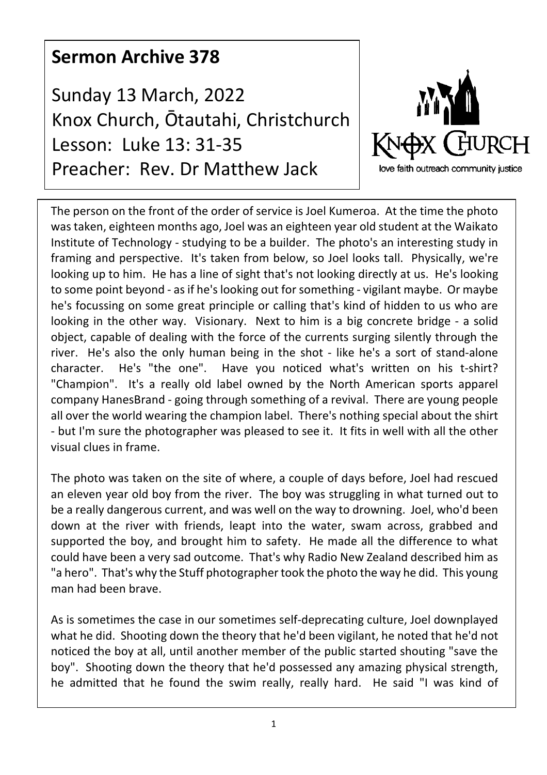## **Sermon Archive 378**

Sunday 13 March, 2022 Knox Church, Ōtautahi, Christchurch Lesson: Luke 13: 31-35 Preacher: Rev. Dr Matthew Jack



The person on the front of the order of service is Joel Kumeroa. At the time the photo was taken, eighteen months ago, Joel was an eighteen year old student at the Waikato Institute of Technology - studying to be a builder. The photo's an interesting study in framing and perspective. It's taken from below, so Joel looks tall. Physically, we're looking up to him. He has a line of sight that's not looking directly at us. He's looking to some point beyond - as if he's looking out for something - vigilant maybe. Or maybe he's focussing on some great principle or calling that's kind of hidden to us who are looking in the other way. Visionary. Next to him is a big concrete bridge - a solid object, capable of dealing with the force of the currents surging silently through the river. He's also the only human being in the shot - like he's a sort of stand-alone character. He's "the one". Have you noticed what's written on his t-shirt? "Champion". It's a really old label owned by the North American sports apparel company HanesBrand - going through something of a revival. There are young people all over the world wearing the champion label. There's nothing special about the shirt - but I'm sure the photographer was pleased to see it. It fits in well with all the other visual clues in frame.

The photo was taken on the site of where, a couple of days before, Joel had rescued an eleven year old boy from the river. The boy was struggling in what turned out to be a really dangerous current, and was well on the way to drowning. Joel, who'd been down at the river with friends, leapt into the water, swam across, grabbed and supported the boy, and brought him to safety. He made all the difference to what could have been a very sad outcome. That's why Radio New Zealand described him as "a hero". That's why the Stuff photographer took the photo the way he did. This young man had been brave.

As is sometimes the case in our sometimes self-deprecating culture, Joel downplayed what he did. Shooting down the theory that he'd been vigilant, he noted that he'd not noticed the boy at all, until another member of the public started shouting "save the boy". Shooting down the theory that he'd possessed any amazing physical strength, he admitted that he found the swim really, really hard. He said "I was kind of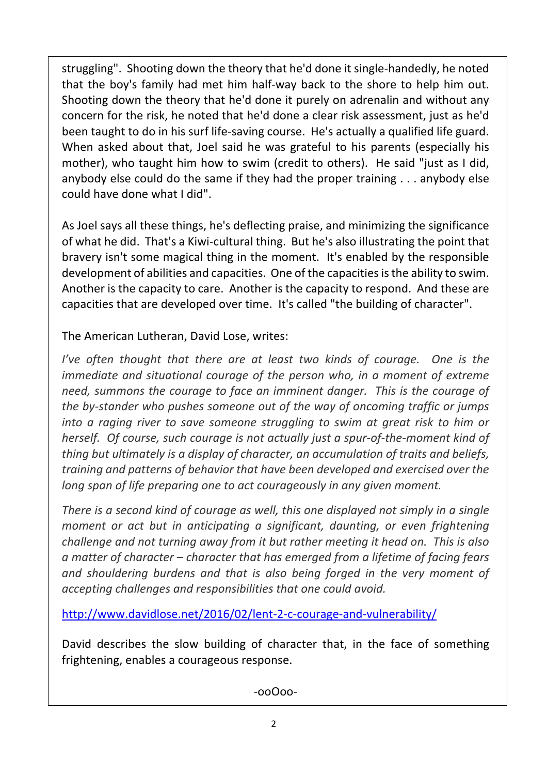struggling". Shooting down the theory that he'd done it single-handedly, he noted that the boy's family had met him half-way back to the shore to help him out. Shooting down the theory that he'd done it purely on adrenalin and without any concern for the risk, he noted that he'd done a clear risk assessment, just as he'd been taught to do in his surf life-saving course. He's actually a qualified life guard. When asked about that, Joel said he was grateful to his parents (especially his mother), who taught him how to swim (credit to others). He said "just as I did, anybody else could do the same if they had the proper training . . . anybody else could have done what I did".

As Joel says all these things, he's deflecting praise, and minimizing the significance of what he did. That's a Kiwi-cultural thing. But he's also illustrating the point that bravery isn't some magical thing in the moment. It's enabled by the responsible development of abilities and capacities. One of the capacities is the ability to swim. Another is the capacity to care. Another is the capacity to respond. And these are capacities that are developed over time. It's called "the building of character".

The American Lutheran, David Lose, writes:

*I've often thought that there are at least two kinds of courage. One is the immediate and situational courage of the person who, in a moment of extreme need, summons the courage to face an imminent danger. This is the courage of the by-stander who pushes someone out of the way of oncoming traffic or jumps into a raging river to save someone struggling to swim at great risk to him or herself. Of course, such courage is not actually just a spur-of-the-moment kind of thing but ultimately is a display of character, an accumulation of traits and beliefs, training and patterns of behavior that have been developed and exercised over the long span of life preparing one to act courageously in any given moment.*

*There is a second kind of courage as well, this one displayed not simply in a single moment or act but in anticipating a significant, daunting, or even frightening challenge and not turning away from it but rather meeting it head on. This is also a matter of character – character that has emerged from a lifetime of facing fears and shouldering burdens and that is also being forged in the very moment of accepting challenges and responsibilities that one could avoid.*

http://www.davidlose.net/2016/02/lent-2-c-courage-and-vulnerability/

David describes the slow building of character that, in the face of something frightening, enables a courageous response.

-ooOoo-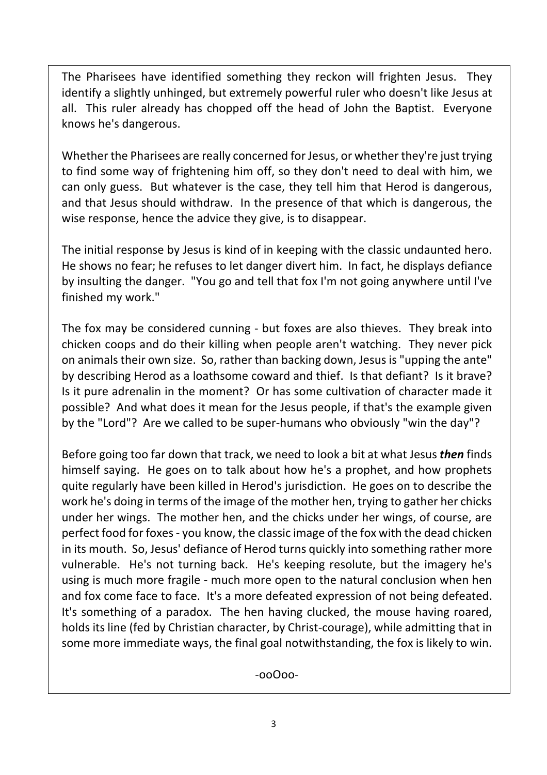The Pharisees have identified something they reckon will frighten Jesus. They identify a slightly unhinged, but extremely powerful ruler who doesn't like Jesus at all. This ruler already has chopped off the head of John the Baptist. Everyone knows he's dangerous.

Whether the Pharisees are really concerned for Jesus, or whether they're just trying to find some way of frightening him off, so they don't need to deal with him, we can only guess. But whatever is the case, they tell him that Herod is dangerous, and that Jesus should withdraw. In the presence of that which is dangerous, the wise response, hence the advice they give, is to disappear.

The initial response by Jesus is kind of in keeping with the classic undaunted hero. He shows no fear; he refuses to let danger divert him. In fact, he displays defiance by insulting the danger. "You go and tell that fox I'm not going anywhere until I've finished my work."

The fox may be considered cunning - but foxes are also thieves. They break into chicken coops and do their killing when people aren't watching. They never pick on animals their own size. So, rather than backing down, Jesus is "upping the ante" by describing Herod as a loathsome coward and thief. Is that defiant? Is it brave? Is it pure adrenalin in the moment? Or has some cultivation of character made it possible? And what does it mean for the Jesus people, if that's the example given by the "Lord"? Are we called to be super-humans who obviously "win the day"?

Before going too far down that track, we need to look a bit at what Jesus *then* finds himself saying. He goes on to talk about how he's a prophet, and how prophets quite regularly have been killed in Herod's jurisdiction. He goes on to describe the work he's doing in terms of the image of the mother hen, trying to gather her chicks under her wings. The mother hen, and the chicks under her wings, of course, are perfect food for foxes - you know, the classic image of the fox with the dead chicken in its mouth. So, Jesus' defiance of Herod turns quickly into something rather more vulnerable. He's not turning back. He's keeping resolute, but the imagery he's using is much more fragile - much more open to the natural conclusion when hen and fox come face to face. It's a more defeated expression of not being defeated. It's something of a paradox. The hen having clucked, the mouse having roared, holds its line (fed by Christian character, by Christ-courage), while admitting that in some more immediate ways, the final goal notwithstanding, the fox is likely to win.

-ooOoo-